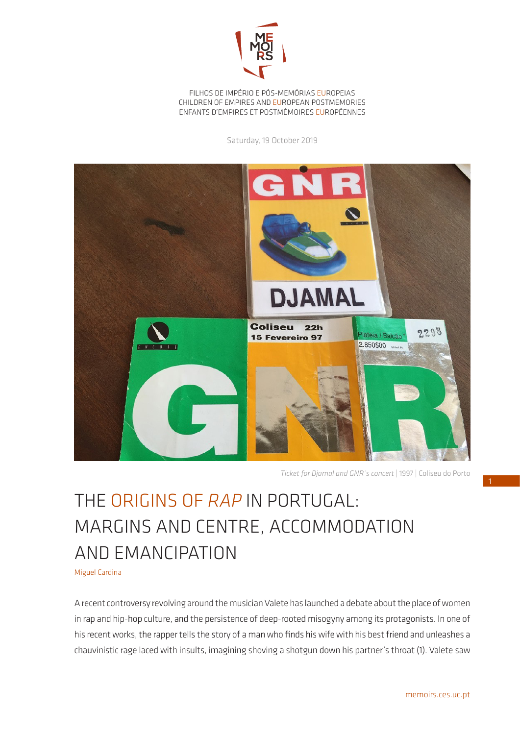

FILHOS DE IMPÉRIO E PÓS-MEMÓRIAS EUROPEIAS CHILDREN OF EMPIRES AND EUROPEAN POSTMEMORIES ENFANTS D'EMPIRES ET POSTMÉMOIRES EUROPÉENNES

Saturday, 19 October 2019



*Ticket for Djamal and GNR´s concert* | 1997 | Coliseu do Porto

## THE ORIGINS OF *RAP* IN PORTUGAL: MARGINS AND CENTRE, ACCOMMODATION AND EMANCIPATION

Miguel Cardina

A recent controversy revolving around the musician Valete has launched a debate about the place of women in rap and hip-hop culture, and the persistence of deep-rooted misogyny among its protagonists. In one of his recent works, the rapper tells the story of a man who finds his wife with his best friend and unleashes a chauvinistic rage laced with insults, imagining shoving a shotgun down his partner's throat (1). Valete saw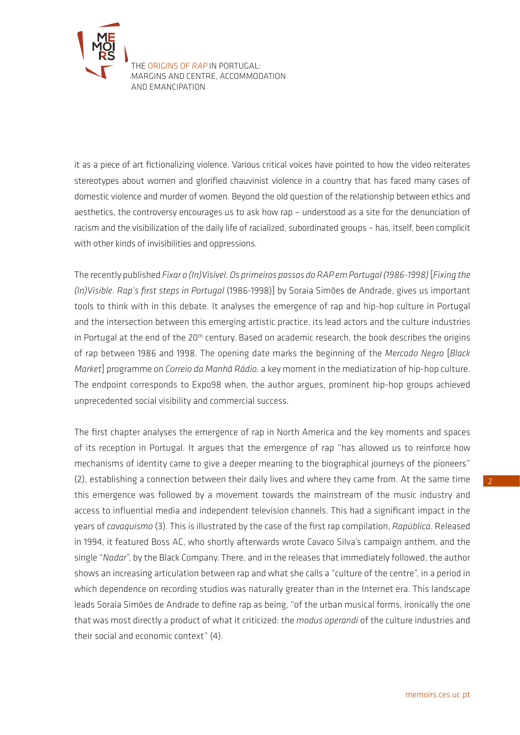

it as a piece of art fictionalizing violence. Various critical voices have pointed to how the video reiterates stereotypes about women and glorified chauvinist violence in a country that has faced many cases of domestic violence and murder of women. Beyond the old question of the relationship between ethics and aesthetics, the controversy encourages us to ask how rap – understood as a site for the denunciation of racism and the visibilization of the daily life of racialized, subordinated groups – has, itself, been complicit with other kinds of invisibilities and oppressions.

The recently published *Fixar o (In)Visível. Os primeiros passos do RAP em Portugal (1986-1998)* [*Fixing the (In)Visible. Rap's first steps in Portugal* (1986-1998)] by Soraia Simões de Andrade, gives us important tools to think with in this debate. It analyses the emergence of rap and hip-hop culture in Portugal and the intersection between this emerging artistic practice, its lead actors and the culture industries in Portugal at the end of the 20<sup>th</sup> century. Based on academic research, the book describes the origins of rap between 1986 and 1998. The opening date marks the beginning of the *Mercado Negro* [*Black Market*] programme on *Correio da Manhã Rádio,* a key moment in the mediatization of hip-hop culture. The endpoint corresponds to Expo98 when, the author argues, prominent hip-hop groups achieved unprecedented social visibility and commercial success.

The first chapter analyses the emergence of rap in North America and the key moments and spaces of its reception in Portugal. It argues that the emergence of rap "has allowed us to reinforce how mechanisms of identity came to give a deeper meaning to the biographical journeys of the pioneers" (2), establishing a connection between their daily lives and where they came from. At the same time this emergence was followed by a movement towards the mainstream of the music industry and access to influential media and independent television channels. This had a significant impact in the years of *cavaquismo* (3)*.* This is illustrated by the case of the first rap compilation, *Rapública*. Released in 1994, it featured Boss AC, who shortly afterwards wrote Cavaco Silva's campaign anthem, and the single "*Nadar*", by the Black Company. There, and in the releases that immediately followed, the author shows an increasing articulation between rap and what she calls a "culture of the centre", in a period in which dependence on recording studios was naturally greater than in the Internet era. This landscape leads Soraia Simões de Andrade to define rap as being, "of the urban musical forms, ironically the one that was most directly a product of what it criticized: the *modus operandi* of the culture industries and their social and economic context" (4).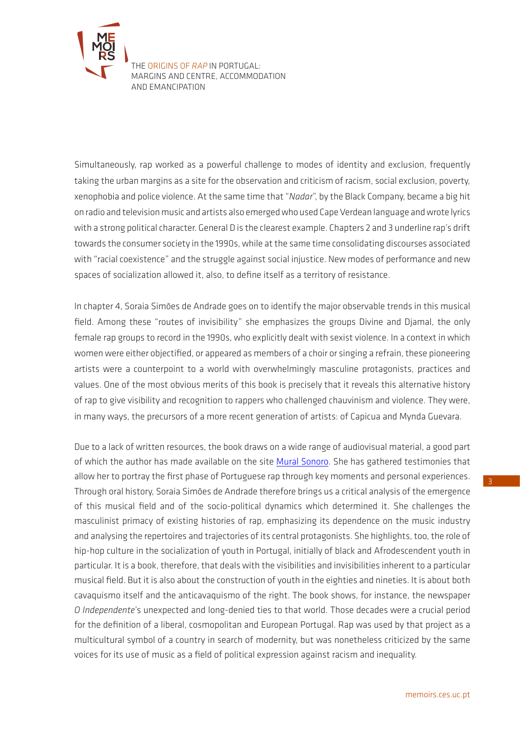

Simultaneously, rap worked as a powerful challenge to modes of identity and exclusion, frequently taking the urban margins as a site for the observation and criticism of racism, social exclusion, poverty, xenophobia and police violence. At the same time that "*Nadar*", by the Black Company, became a big hit on radio and television music and artists also emerged who used Cape Verdean language and wrote lyrics with a strong political character. General D is the clearest example. Chapters 2 and 3 underline rap's drift towards the consumer society in the 1990s, while at the same time consolidating discourses associated with "racial coexistence" and the struggle against social injustice. New modes of performance and new spaces of socialization allowed it, also, to define itself as a territory of resistance.

In chapter 4, Soraia Simões de Andrade goes on to identify the major observable trends in this musical field. Among these "routes of invisibility" she emphasizes the groups Divine and Djamal, the only female rap groups to record in the 1990s, who explicitly dealt with sexist violence. In a context in which women were either objectified, or appeared as members of a choir or singing a refrain, these pioneering artists were a counterpoint to a world with overwhelmingly masculine protagonists, practices and values. One of the most obvious merits of this book is precisely that it reveals this alternative history of rap to give visibility and recognition to rappers who challenged chauvinism and violence. They were, in many ways, the precursors of a more recent generation of artists: of Capicua and Mynda Guevara.

Due to a lack of written resources, the book draws on a wide range of audiovisual material, a good part of which the author has made available on the site [Mural Sonoro](https://www.muralsonoro.com/). She has gathered testimonies that allow her to portray the first phase of Portuguese rap through key moments and personal experiences. Through oral history, Soraia Simões de Andrade therefore brings us a critical analysis of the emergence of this musical field and of the socio-political dynamics which determined it. She challenges the masculinist primacy of existing histories of rap, emphasizing its dependence on the music industry and analysing the repertoires and trajectories of its central protagonists. She highlights, too, the role of hip-hop culture in the socialization of youth in Portugal, initially of black and Afrodescendent youth in particular. It is a book, therefore, that deals with the visibilities and invisibilities inherent to a particular musical field. But it is also about the construction of youth in the eighties and nineties. It is about both cavaquismo itself and the anticavaquismo of the right. The book shows, for instance, the newspaper *O Independente*'s unexpected and long-denied ties to that world. Those decades were a crucial period for the definition of a liberal, cosmopolitan and European Portugal. Rap was used by that project as a multicultural symbol of a country in search of modernity, but was nonetheless criticized by the same voices for its use of music as a field of political expression against racism and inequality.